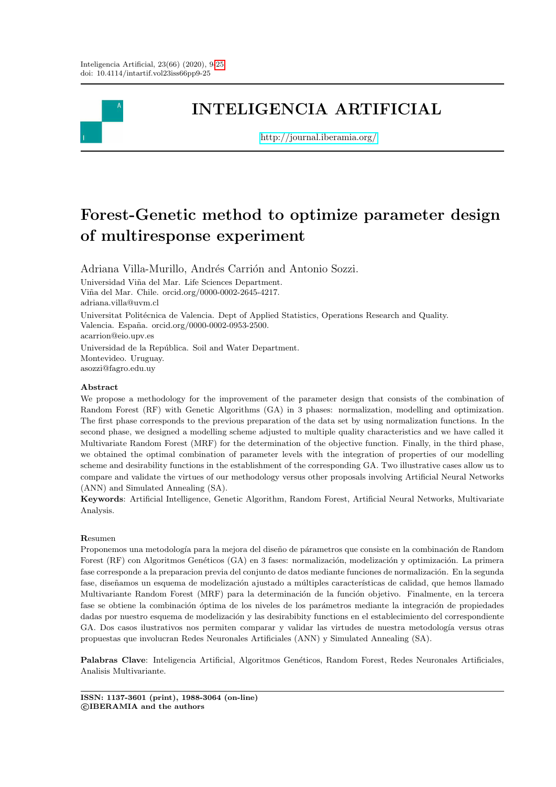

# INTELIGENCIA ARTIFICIAL

<http://journal.iberamia.org/>

# Forest-Genetic method to optimize parameter design of multiresponse experiment

Adriana Villa-Murillo, Andrés Carrión and Antonio Sozzi.

Universidad Viña del Mar. Life Sciences Department. Viña del Mar. Chile. orcid.org/0000-0002-2645-4217. adriana.villa@uvm.cl Universitat Politécnica de Valencia. Dept of Applied Statistics, Operations Research and Quality.

Valencia. España. orcid.org/0000-0002-0953-2500. acarrion@eio.upv.es

Universidad de la República. Soil and Water Department. Montevideo. Uruguay. asozzi@fagro.edu.uy

#### Abstract

We propose a methodology for the improvement of the parameter design that consists of the combination of Random Forest (RF) with Genetic Algorithms (GA) in 3 phases: normalization, modelling and optimization. The first phase corresponds to the previous preparation of the data set by using normalization functions. In the second phase, we designed a modelling scheme adjusted to multiple quality characteristics and we have called it Multivariate Random Forest (MRF) for the determination of the objective function. Finally, in the third phase, we obtained the optimal combination of parameter levels with the integration of properties of our modelling scheme and desirability functions in the establishment of the corresponding GA. Two illustrative cases allow us to compare and validate the virtues of our methodology versus other proposals involving Artificial Neural Networks (ANN) and Simulated Annealing (SA).

Keywords: Artificial Intelligence, Genetic Algorithm, Random Forest, Artificial Neural Networks, Multivariate Analysis.

#### Resumen

Proponemos una metodología para la mejora del diseño de párametros que consiste en la combinación de Random Forest (RF) con Algoritmos Genéticos (GA) en 3 fases: normalización, modelización y optimización. La primera fase corresponde a la preparacion previa del conjunto de datos mediante funciones de normalización. En la segunda fase, diseñamos un esquema de modelización ajustado a múltiples características de calidad, que hemos llamado Multivariante Random Forest (MRF) para la determinación de la función objetivo. Finalmente, en la tercera fase se obtiene la combinación óptima de los niveles de los parámetros mediante la integración de propiedades dadas por nuestro esquema de modelización y las desirabibity functions en el establecimiento del correspondiente GA. Dos casos ilustrativos nos permiten comparar y validar las virtudes de nuestra metodología versus otras propuestas que involucran Redes Neuronales Artificiales (ANN) y Simulated Annealing (SA).

Palabras Clave: Inteligencia Artificial, Algoritmos Genéticos, Random Forest, Redes Neuronales Artificiales, Analisis Multivariante.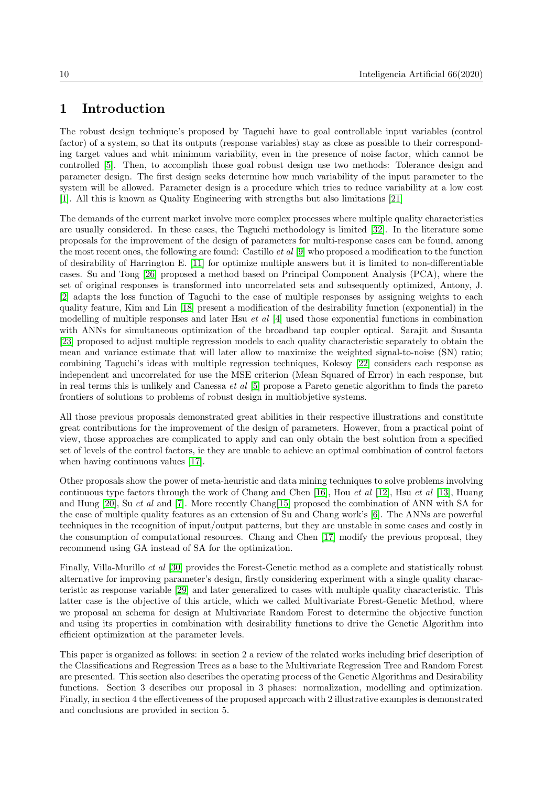# 1 Introduction

The robust design technique's proposed by Taguchi have to goal controllable input variables (control factor) of a system, so that its outputs (response variables) stay as close as possible to their corresponding target values and whit minimum variability, even in the presence of noise factor, which cannot be controlled [\[5\]](#page-15-0). Then, to accomplish those goal robust design use two methods: Tolerance design and parameter design. The first design seeks determine how much variability of the input parameter to the system will be allowed. Parameter design is a procedure which tries to reduce variability at a low cost [\[1\]](#page-14-0). All this is known as Quality Engineering with strengths but also limitations [\[21\]](#page-15-1)

The demands of the current market involve more complex processes where multiple quality characteristics are usually considered. In these cases, the Taguchi methodology is limited [\[32\]](#page-16-1). In the literature some proposals for the improvement of the design of parameters for multi-response cases can be found, among the most recent ones, the following are found: Castillo *et al*  $[9]$  who proposed a modification to the function of desirability of Harrington E. [\[11\]](#page-15-3) for optimize multiple answers but it is limited to non-differentiable cases. Su and Tong [\[26\]](#page-16-2) proposed a method based on Principal Component Analysis (PCA), where the set of original responses is transformed into uncorrelated sets and subsequently optimized, Antony, J. [\[2\]](#page-14-1) adapts the loss function of Taguchi to the case of multiple responses by assigning weights to each quality feature, Kim and Lin [\[18\]](#page-15-4) present a modification of the desirability function (exponential) in the modelling of multiple responses and later Hsu *et al*  $[4]$  used those exponential functions in combination with ANNs for simultaneous optimization of the broadband tap coupler optical. Sarajit and Susanta [\[23\]](#page-16-3) proposed to adjust multiple regression models to each quality characteristic separately to obtain the mean and variance estimate that will later allow to maximize the weighted signal-to-noise (SN) ratio; combining Taguchi's ideas with multiple regression techniques, Koksoy [\[22\]](#page-15-6) considers each response as independent and uncorrelated for use the MSE criterion (Mean Squared of Error) in each response, but in real terms this is unlikely and Canessa et al [\[5\]](#page-15-0) propose a Pareto genetic algorithm to finds the pareto frontiers of solutions to problems of robust design in multiobjetive systems.

All those previous proposals demonstrated great abilities in their respective illustrations and constitute great contributions for the improvement of the design of parameters. However, from a practical point of view, those approaches are complicated to apply and can only obtain the best solution from a specified set of levels of the control factors, ie they are unable to achieve an optimal combination of control factors when having continuous values [\[17\]](#page-15-7).

Other proposals show the power of meta-heuristic and data mining techniques to solve problems involving continuous type factors through the work of Chang and Chen [\[16\]](#page-15-8), Hou *et al* [\[12\]](#page-15-9), Hsu *et al* [\[13\]](#page-15-10), Huang and Hung [\[20\]](#page-15-11), Su *et al* and [\[7\]](#page-15-12). More recently Chang[\[15\]](#page-15-13) proposed the combination of ANN with SA for the case of multiple quality features as an extension of Su and Chang work's [\[6\]](#page-15-14). The ANNs are powerful techniques in the recognition of input/output patterns, but they are unstable in some cases and costly in the consumption of computational resources. Chang and Chen [\[17\]](#page-15-7) modify the previous proposal, they recommend using GA instead of SA for the optimization.

Finally, Villa-Murillo et al [\[30\]](#page-16-4) provides the Forest-Genetic method as a complete and statistically robust alternative for improving parameter's design, firstly considering experiment with a single quality characteristic as response variable [\[29\]](#page-16-5) and later generalized to cases with multiple quality characteristic. This latter case is the objective of this article, which we called Multivariate Forest-Genetic Method, where we proposal an schema for design at Multivariate Random Forest to determine the objective function and using its properties in combination with desirability functions to drive the Genetic Algorithm into efficient optimization at the parameter levels.

This paper is organized as follows: in section 2 a review of the related works including brief description of the Classifications and Regression Trees as a base to the Multivariate Regression Tree and Random Forest are presented. This section also describes the operating process of the Genetic Algorithms and Desirability functions. Section 3 describes our proposal in 3 phases: normalization, modelling and optimization. Finally, in section 4 the effectiveness of the proposed approach with 2 illustrative examples is demonstrated and conclusions are provided in section 5.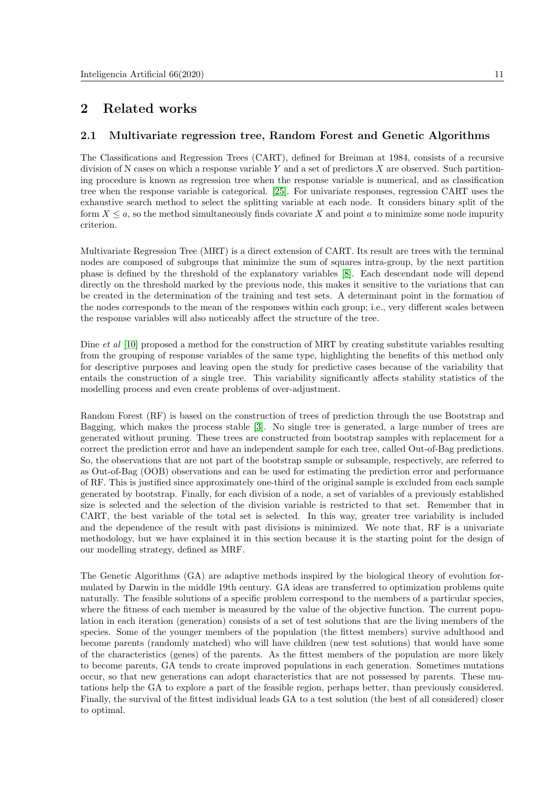# 2 Related works

### 2.1 Multivariate regression tree, Random Forest and Genetic Algorithms

The Classifications and Regression Trees (CART), defined for Breiman at 1984, consists of a recursive division of N cases on which a response variable Y and a set of predictors X are observed. Such partitioning procedure is known as regression tree when the response variable is numerical, and as classification tree when the response variable is categorical. [\[25\]](#page-16-6). For univariate responses, regression CART uses the exhaustive search method to select the splitting variable at each node. It considers binary split of the form  $X \leq a$ , so the method simultaneously finds covariate X and point a to minimize some node impurity criterion.

Multivariate Regression Tree (MRT) is a direct extension of CART. Its result are trees with the terminal nodes are composed of subgroups that minimize the sum of squares intra-group, by the next partition phase is defined by the threshold of the explanatory variables [\[8\]](#page-15-15). Each descendant node will depend directly on the threshold marked by the previous node, this makes it sensitive to the variations that can be created in the determination of the training and test sets. A determinant point in the formation of the nodes corresponds to the mean of the responses within each group; i.e., very different scales between the response variables will also noticeably affect the structure of the tree.

Dine *et al* [\[10\]](#page-15-16) proposed a method for the construction of MRT by creating substitute variables resulting from the grouping of response variables of the same type, highlighting the benefits of this method only for descriptive purposes and leaving open the study for predictive cases because of the variability that entails the construction of a single tree. This variability significantly affects stability statistics of the modelling process and even create problems of over-adjustment.

Random Forest (RF) is based on the construction of trees of prediction through the use Bootstrap and Bagging, which makes the process stable [\[3\]](#page-15-17). No single tree is generated, a large number of trees are generated without pruning. These trees are constructed from bootstrap samples with replacement for a correct the prediction error and have an independent sample for each tree, called Out-of-Bag predictions. So, the observations that are not part of the bootstrap sample or subsample, respectively, are referred to as Out-of-Bag (OOB) observations and can be used for estimating the prediction error and performance of RF. This is justified since approximately one-third of the original sample is excluded from each sample generated by bootstrap. Finally, for each division of a node, a set of variables of a previously established size is selected and the selection of the division variable is restricted to that set. Remember that in CART, the best variable of the total set is selected. In this way, greater tree variability is included and the dependence of the result with past divisions is minimized. We note that, RF is a univariate methodology, but we have explained it in this section because it is the starting point for the design of our modelling strategy, defined as MRF.

The Genetic Algorithms (GA) are adaptive methods inspired by the biological theory of evolution formulated by Darwin in the middle 19th century. GA ideas are transferred to optimization problems quite naturally. The feasible solutions of a specific problem correspond to the members of a particular species, where the fitness of each member is measured by the value of the objective function. The current population in each iteration (generation) consists of a set of test solutions that are the living members of the species. Some of the younger members of the population (the fittest members) survive adulthood and become parents (randomly matched) who will have children (new test solutions) that would have some of the characteristics (genes) of the parents. As the fittest members of the population are more likely to become parents, GA tends to create improved populations in each generation. Sometimes mutations occur, so that new generations can adopt characteristics that are not possessed by parents. These mutations help the GA to explore a part of the feasible region, perhaps better, than previously considered. Finally, the survival of the fittest individual leads GA to a test solution (the best of all considered) closer to optimal.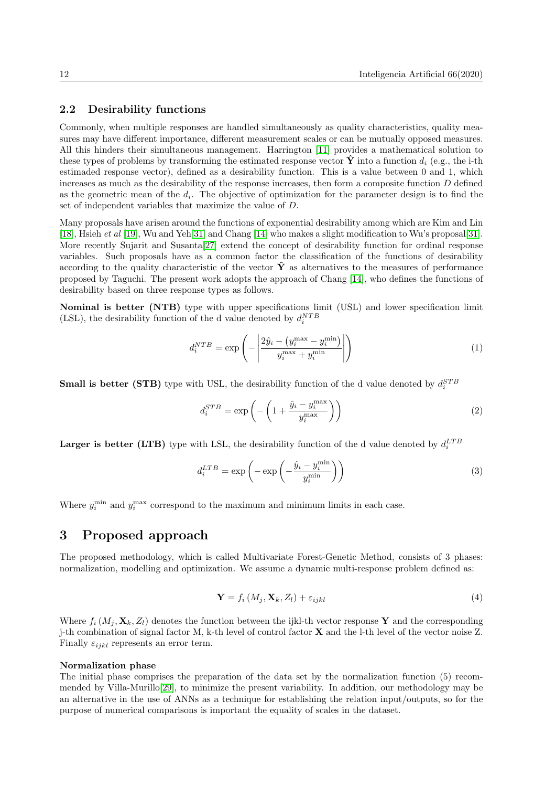#### 2.2 Desirability functions

Commonly, when multiple responses are handled simultaneously as quality characteristics, quality measures may have different importance, different measurement scales or can be mutually opposed measures. All this hinders their simultaneous management. Harrington [\[11\]](#page-15-3) provides a mathematical solution to these types of problems by transforming the estimated response vector  $\hat{\mathbf{Y}}$  into a function  $d_i$  (e.g., the i-th estimaded response vector), defined as a desirability function. This is a value between 0 and 1, which increases as much as the desirability of the response increases, then form a composite function  $D$  defined as the geometric mean of the  $d_i$ . The objective of optimization for the parameter design is to find the set of independent variables that maximize the value of D.

Many proposals have arisen around the functions of exponential desirability among which are Kim and Lin [\[18\]](#page-15-4), Hsieh et al [\[19\]](#page-15-18), Wu and Yeh[\[31\]](#page-16-7) and Chang [\[14\]](#page-15-19) who makes a slight modification to Wu's proposal[\[31\]](#page-16-7). More recently Sujarit and Susanta[\[27\]](#page-16-8) extend the concept of desirability function for ordinal response variables. Such proposals have as a common factor the classification of the functions of desirability according to the quality characteristic of the vector  $\hat{Y}$  as alternatives to the measures of performance proposed by Taguchi. The present work adopts the approach of Chang [\[14\]](#page-15-19), who defines the functions of desirability based on three response types as follows.

Nominal is better (NTB) type with upper specifications limit (USL) and lower specification limit (LSL), the desirability function of the d value denoted by  $d_i^{NTB}$ 

$$
d_i^{NTB} = \exp\left(-\left|\frac{2\hat{y}_i - \left(y_i^{\max} - y_i^{\min}\right)}{y_i^{\max} + y_i^{\min}}\right|\right) \tag{1}
$$

**Small is better (STB)** type with USL, the desirability function of the d value denoted by  $d_i^{STB}$ 

$$
d_i^{STB} = \exp\left(-\left(1 + \frac{\hat{y}_i - y_i^{\max}}{y_i^{\max}}\right)\right) \tag{2}
$$

**Larger is better (LTB)** type with LSL, the desirability function of the d value denoted by  $d_i^{LTB}$ 

$$
d_i^{LTB} = \exp\left(-\exp\left(-\frac{\hat{y}_i - y_i^{\min}}{y_i^{\min}}\right)\right)
$$
\n(3)

Where  $y_i^{\min}$  and  $y_i^{\max}$  correspond to the maximum and minimum limits in each case.

### 3 Proposed approach

The proposed methodology, which is called Multivariate Forest-Genetic Method, consists of 3 phases: normalization, modelling and optimization. We assume a dynamic multi-response problem defined as:

$$
\mathbf{Y} = f_i\left(M_j, \mathbf{X}_k, Z_l\right) + \varepsilon_{ijkl} \tag{4}
$$

Where  $f_i(M_i, \mathbf{X}_k, Z_l)$  denotes the function between the ijkl-th vector response Y and the corresponding j-th combination of signal factor M, k-th level of control factor X and the l-th level of the vector noise Z. Finally  $\varepsilon_{ijkl}$  represents an error term.

#### Normalization phase

The initial phase comprises the preparation of the data set by the normalization function (5) recommended by Villa-Murillo[\[29\]](#page-16-5), to minimize the present variability. In addition, our methodology may be an alternative in the use of ANNs as a technique for establishing the relation input/outputs, so for the purpose of numerical comparisons is important the equality of scales in the dataset.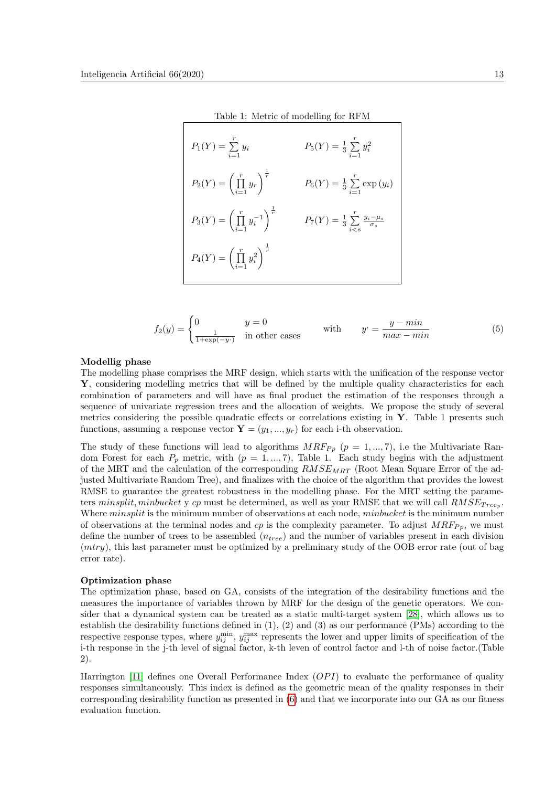<span id="page-4-1"></span>

|                           | Table 1: Metric of modelling for RFM        |
|---------------------------|---------------------------------------------|
| $P_1(Y) = \sum_{i=1} y_i$ | $P_5(Y) = \frac{1}{3} \sum_{i=1}^{7} y_i^2$ |

$$
P_2(Y) = \left(\prod_{i=1}^r y_r\right)^{\frac{1}{r}}
$$
  
\n
$$
P_3(Y) = \left(\prod_{i=1}^r y_i^{-1}\right)^{\frac{1}{r}}
$$
  
\n
$$
P_4(Y) = \left(\prod_{i=1}^r y_i^{-2}\right)^{\frac{1}{r}}
$$
  
\n
$$
P_5(Y) = \frac{1}{3} \sum_{i < s}^r \frac{y_i - \mu_s}{\sigma_s}
$$
  
\n
$$
P_6(Y) = \frac{1}{3} \sum_{i < s}^r \frac{y_i - \mu_s}{\sigma_s}
$$

<span id="page-4-0"></span>
$$
f_2(y) = \begin{cases} 0 & y = 0\\ \frac{1}{1 + \exp(-y)} & \text{in other cases} \end{cases} \quad \text{with} \quad y' = \frac{y - \min}{\max - \min} \tag{5}
$$

#### Modellig phase

The modelling phase comprises the MRF design, which starts with the unification of the response vector Y, considering modelling metrics that will be defined by the multiple quality characteristics for each combination of parameters and will have as final product the estimation of the responses through a sequence of univariate regression trees and the allocation of weights. We propose the study of several metrics considering the possible quadratic effects or correlations existing in  $\mathbf{Y}$ . Table 1 presents such functions, assuming a response vector  $\mathbf{Y} = (y_1, ..., y_r)$  for each i-th observation.

The study of these functions will lead to algorithms  $MRF_{Pp}$   $(p = 1, ..., 7)$ , i.e the Multivariate Random Forest for each  $P_p$  metric, with  $(p = 1, ..., 7)$ , Table 1. Each study begins with the adjustment of the MRT and the calculation of the corresponding  $RMSE_{MRT}$  (Root Mean Square Error of the adjusted Multivariate Random Tree), and finalizes with the choice of the algorithm that provides the lowest RMSE to guarantee the greatest robustness in the modelling phase. For the MRT setting the parameters minsplit, minbucket y cp must be determined, as well as your RMSE that we will call  $RMSE_{Tree_p}$ . Where *minsplit* is the minimum number of observations at each node, *minbucket* is the minimum number of observations at the terminal nodes and  $cp$  is the complexity parameter. To adjust  $MRF_{Pp}$ , we must define the number of trees to be assembled  $(n_{tree})$  and the number of variables present in each division (mtry), this last parameter must be optimized by a preliminary study of the OOB error rate (out of bag error rate).

#### Optimization phase

The optimization phase, based on GA, consists of the integration of the desirability functions and the measures the importance of variables thrown by MRF for the design of the genetic operators. We consider that a dynamical system can be treated as a static multi-target system [\[28\]](#page-16-9), which allows us to establish the desirability functions defined in (1), (2) and (3) as our performance (PMs) according to the respective response types, where  $y_{ij}^{\min}$ ,  $y_{ij}^{\max}$  represents the lower and upper limits of specification of the i-th response in the j-th level of signal factor, k-th leven of control factor and l-th of noise factor.(Table 2).

Harrington [\[11\]](#page-15-3) defines one Overall Performance Index  $(OPI)$  to evaluate the performance of quality responses simultaneously. This index is defined as the geometric mean of the quality responses in their corresponding desirability function as presented in [\(6\)](#page-5-0) and that we incorporate into our GA as our fitness evaluation function.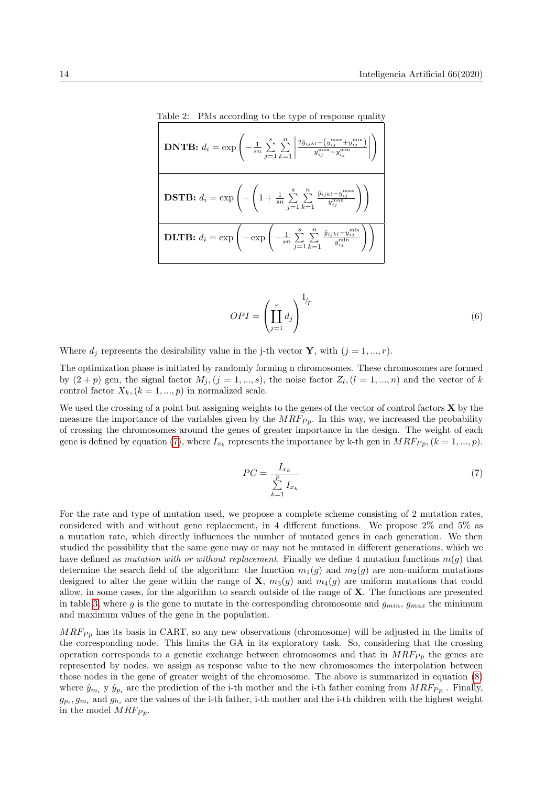<span id="page-5-2"></span>Table 2: PMs according to the type of response quality  
\n**DNTB:** 
$$
d_i = \exp\left(-\frac{1}{sn}\sum_{j=1}^{s}\sum_{k=1}^{n}\left|\frac{2\hat{y}_{i j k l} - (y_{i j}^{\max} + y_{i j}^{\min})}{y_{i j}^{\max} + y_{i j}^{\min}}\right|\right)
$$
\n**DSTB:** 
$$
d_i = \exp\left(-\left(1 + \frac{1}{sn}\sum_{j=1}^{s}\sum_{k=1}^{n}\frac{\hat{y}_{i j k l} - y_{i j}^{\max}}{y_{i j}^{\max}}\right)\right)
$$
\n**DLTB:** 
$$
d_i = \exp\left(-\exp\left(-\frac{1}{sn}\sum_{j=1}^{s}\sum_{k=1}^{n}\frac{\hat{y}_{i j k l} - y_{i j}^{\min}}{y_{i j}^{\min}}\right)\right)
$$

<span id="page-5-0"></span>
$$
OPI = \left(\coprod_{j=1}^{r} d_j\right)^{1/r} \tag{6}
$$

Where  $d_i$  represents the desirability value in the j-th vector **Y**, with  $(j = 1, ..., r)$ .

The optimization phase is initiated by randomly forming n chromosomes. These chromosomes are formed by  $(2+p)$  gen, the signal factor  $M_j$ ,  $(j = 1, ..., s)$ , the noise factor  $Z_l$ ,  $(l = 1, ..., n)$  and the vector of k control factor  $X_k$ ,  $(k = 1, ..., p)$  in normalized scale.

We used the crossing of a point but assigning weights to the genes of the vector of control factors  $X$  by the measure the importance of the variables given by the  $MRF_{Pp}$ . In this way, we increased the probability of crossing the chromosomes around the genes of greater importance in the design. The weight of each gene is defined by equation [\(7\)](#page-5-1), where  $I_{x_k}$  represents the importance by k-th gen in  $MRF_{Pp}, (k = 1, ..., p)$ .

<span id="page-5-1"></span>
$$
PC = \frac{I_{x_k}}{\sum\limits_{k=1}^{p} I_{x_k}}\tag{7}
$$

For the rate and type of mutation used, we propose a complete scheme consisting of 2 mutation rates, considered with and without gene replacement, in 4 different functions. We propose 2% and 5% as a mutation rate, which directly influences the number of mutated genes in each generation. We then studied the possibility that the same gene may or may not be mutated in different generations, which we have defined as mutation with or without replacement. Finally we define 4 mutation functions  $m(q)$  that determine the search field of the algorithm: the function  $m_1(g)$  and  $m_2(g)$  are non-uniform mutations designed to alter the gene within the range of **X**,  $m_3(q)$  and  $m_4(q)$  are uniform mutations that could allow, in some cases, for the algorithm to search outside of the range of X. The functions are presented in table [3,](#page-6-0) where g is the gene to mutate in the corresponding chromosome and  $g_{min}$ ,  $g_{max}$  the minimum and maximum values of the gene in the population.

 $MRF_{Pp}$  has its basis in CART, so any new observations (chromosome) will be adjusted in the limits of the corresponding node. This limits the GA in its exploratory task. So, considering that the crossing operation corresponds to a genetic exchange between chromosomes and that in  $MRF_{Pp}$  the genes are represented by nodes, we assign as response value to the new chromosomes the interpolation between those nodes in the gene of greater weight of the chromosome. The above is summarized in equation [\(8\)](#page-6-1) where  $\hat{y}_{m_i}$  y  $\hat{y}_{p_i}$  are the prediction of the i-th mother and the i-th father coming from  $MRF_{Pp}$ . Finally,  $g_{p_i}, g_{m_i}$  and  $g_{h_i}$  are the values of the i-th father, i-th mother and the i-th children with the highest weight in the model  $MRF_{Pp}$ .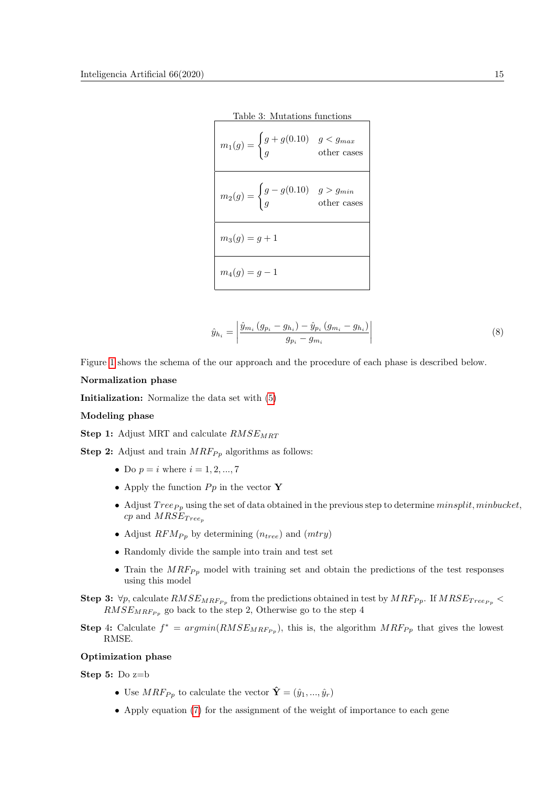<span id="page-6-0"></span>

| Table 3: Mutations functions                                                             |  |
|------------------------------------------------------------------------------------------|--|
| $m_1(g) = \begin{cases} g + g(0.10) & g < g_{max} \\ g & \text{other cases} \end{cases}$ |  |
| $m_2(g) = \begin{cases} g - g(0.10) & g > g_{min} \\ g & \text{other cases} \end{cases}$ |  |
| $m_3(q) = q + 1$                                                                         |  |
| $m_4(g) = g - 1$                                                                         |  |

<span id="page-6-1"></span>
$$
\hat{y}_{h_i} = \left| \frac{\hat{y}_{m_i} \left( g_{p_i} - g_{h_i} \right) - \hat{y}_{p_i} \left( g_{m_i} - g_{h_i} \right)}{g_{p_i} - g_{m_i}} \right| \tag{8}
$$

Figure [1](#page-7-0) shows the schema of the our approach and the procedure of each phase is described below.

#### Normalization phase

Initialization: Normalize the data set with [\(5\)](#page-4-0)

#### Modeling phase

Step 1: Adjust MRT and calculate  $RMSE_{MRT}$ 

**Step 2:** Adjust and train  $MRF_{Pp}$  algorithms as follows:

- Do  $p = i$  where  $i = 1, 2, ..., 7$
- Apply the function  $Pp$  in the vector Y
- Adjust  $Tree_{Pp}$  using the set of data obtained in the previous step to determine minsplit, minbucket,  $cp$  and  $MRSE_{Tree_n}$
- Adjust  $RFM_{Pp}$  by determining  $(n_{tree})$  and  $(mtry)$
- Randomly divide the sample into train and test set
- Train the  $MRF_{Pp}$  model with training set and obtain the predictions of the test responses using this model
- Step 3:  $\forall p$ , calculate  $RMSE_{MRF_{P_p}}$  from the predictions obtained in test by  $MRF_{P_p}$ . If  $MRSE_{Tree_{P_p}}$  $RMSE_{MRF_{Pp}}$ go back to the step 2, Otherwise go to the step 4
- **Step 4:** Calculate  $f^* = argmin(RMSE_{MRF_{P_p}})$ , this is, the algorithm  $MRF_{P_p}$  that gives the lowest RMSE.

#### Optimization phase

Step 5: Do z=b

- Use  $MRF_{Pp}$  to calculate the vector  $\hat{\mathbf{Y}} = (\hat{y}_1, ..., \hat{y}_r)$
- Apply equation [\(7\)](#page-5-1) for the assignment of the weight of importance to each gene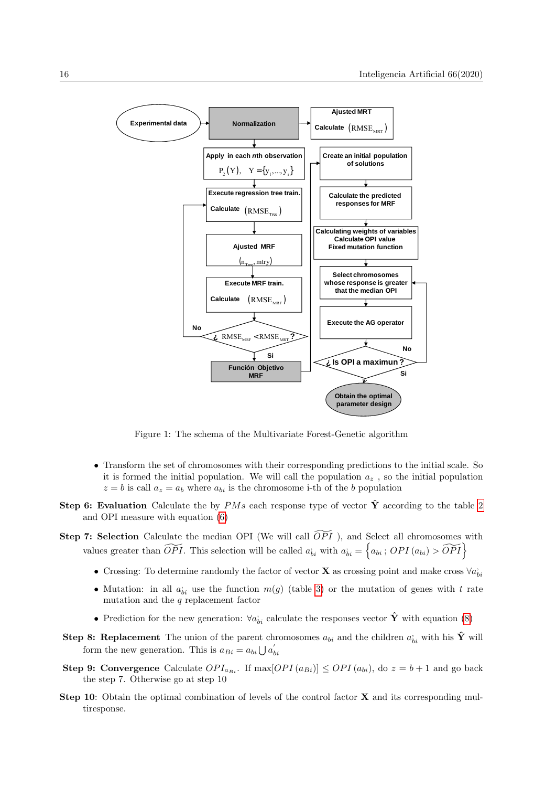

<span id="page-7-0"></span>Figure 1: The schema of the Multivariate Forest-Genetic algorithm

- Transform the set of chromosomes with their corresponding predictions to the initial scale. So it is formed the initial population. We will call the population  $a_z$ , so the initial population  $z = b$  is call  $a_z = a_b$  where  $a_{bi}$  is the chromosome i-th of the b population
- Step 6: Evaluation Calculate the by PMs each response type of vector  $\hat{\mathbf{Y}}$  according to the table [2](#page-5-2) and OPI measure with equation [\(6\)](#page-5-0)
- Step 7: Selection Calculate the median OPI (We will call  $\widetilde{OPT}$ ), and Select all chromosomes with values greater than  $\widetilde{OPT}$ . This selection will be called  $a_{bi}$  with  $a_{bi} = \{a_{bi} : OPT(a_{bi}) > \widetilde{OPT}\}$ 
	- Crossing: To determine randomly the factor of vector **X** as crossing point and make cross  $\forall a_{bi}$
	- Mutation: in all  $a_{bi}$  use the function  $m(g)$  (table [3\)](#page-6-0) or the mutation of genes with t rate mutation and the  $q$  replacement factor
	- Prediction for the new generation:  $\forall a_{bi}$  calculate the responses vector  $\hat{\mathbf{Y}}$  with equation [\(8\)](#page-6-1)
- **Step 8: Replacement** The union of the parent chromosomes  $a_{bi}$  and the children  $a'_{bi}$  with his  $\hat{Y}$  will form the new generation. This is  $a_{Bi} = a_{bi} \bigcup a'_{bi}$
- **Step 9: Convergence** Calculate  $OPI_{a_{Bi}}$ . If  $\max[OPI(a_{Bi})] \leq OPI(a_{bi})$ , do  $z = b + 1$  and go back the step 7. Otherwise go at step 10
- Step 10: Obtain the optimal combination of levels of the control factor **X** and its corresponding multiresponse.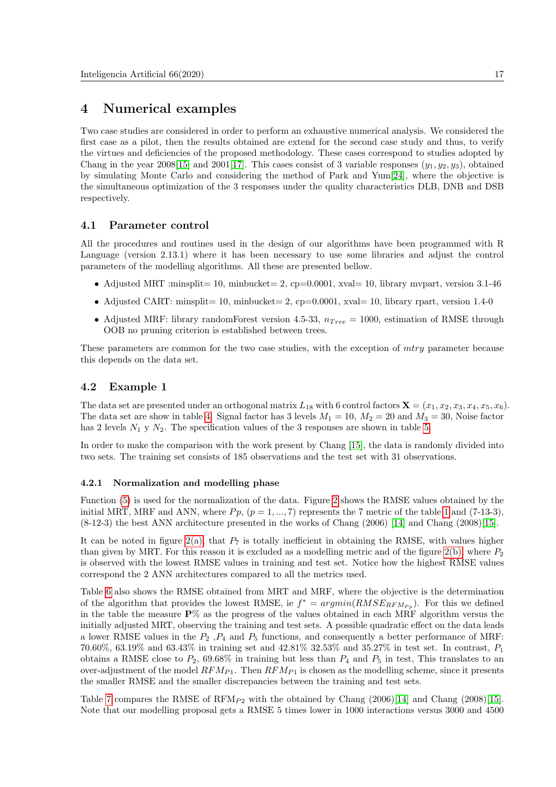## 4 Numerical examples

Two case studies are considered in order to perform an exhaustive numerical analysis. We considered the first case as a pilot, then the results obtained are extend for the second case study and thus, to verify the virtues and deficiencies of the proposed methodology. These cases correspond to studies adopted by Chang in the year 2008[\[15\]](#page-15-13) and 2001[\[17\]](#page-15-7). This cases consist of 3 variable responses  $(y_1, y_2, y_3)$ , obtained by simulating Monte Carlo and considering the method of Park and Yum[\[24\]](#page-16-10), where the objective is the simultaneous optimization of the 3 responses under the quality characteristics DLB, DNB and DSB respectively.

#### 4.1 Parameter control

All the procedures and routines used in the design of our algorithms have been programmed with R Language (version 2.13.1) where it has been necessary to use some libraries and adjust the control parameters of the modelling algorithms. All these are presented bellow.

- Adjusted MRT :minsplit = 10, minbucket = 2, cp=0.0001, xval= 10, library mypart, version 3.1-46
- Adjusted CART: minsplit= 10, minbucket= 2, cp=0.0001, xval= 10, library rpart, version 1.4-0
- Adjusted MRF: library randomForest version 4.5-33,  $n_{Tree} = 1000$ , estimation of RMSE through OOB no pruning criterion is established between trees.

These parameters are common for the two case studies, with the exception of *mtry* parameter because this depends on the data set.

#### 4.2 Example 1

The data set are presented under an orthogonal matrix  $L_{18}$  with 6 control factors  $\mathbf{X} = (x_1, x_2, x_3, x_4, x_5, x_6)$ . The data set are show in table [4.](#page-9-0) Signal factor has 3 levels  $M_1 = 10$ ,  $M_2 = 20$  and  $M_3 = 30$ , Noise factor has 2 levels  $N_1$  y  $N_2$ . The specification values of the 3 responses are shown in table [5.](#page-9-1)

In order to make the comparison with the work present by Chang [\[15\]](#page-15-13), the data is randomly divided into two sets. The training set consists of 185 observations and the test set with 31 observations.

#### 4.2.1 Normalization and modelling phase

Function [\(5\)](#page-4-0) is used for the normalization of the data. Figure [2](#page-10-0) shows the RMSE values obtained by the initial MRT, MRF and ANN, where  $P_p$ ,  $(p = 1, ..., 7)$  $(p = 1, ..., 7)$  $(p = 1, ..., 7)$  represents the 7 metric of the table 1 and (7-13-3), (8-12-3) the best ANN architecture presented in the works of Chang (2006) [\[14\]](#page-15-19) and Chang (2008)[\[15\]](#page-15-13).

It can be noted in figure  $2(a)$ , that  $P_7$  is totally inefficient in obtaining the RMSE, with values higher than given by MRT. For this reason it is excluded as a modelling metric and of the figure  $2(b)$ , where  $P_2$ is observed with the lowest RMSE values in training and test set. Notice how the highest RMSE values correspond the 2 ANN architectures compared to all the metrics used.

Table [6](#page-9-2) also shows the RMSE obtained from MRT and MRF, where the objective is the determination of the algorithm that provides the lowest RMSE, ie  $f^* = argmin(RMSE_{RFM_{P_p}})$ . For this we defined in the table the measure  $\mathbf{P}$ % as the progress of the values obtained in each MRF algorithm versus the initially adjusted MRT, observing the training and test sets. A possible quadratic effect on the data leads a lower RMSE values in the  $P_2$ ,  $P_4$  and  $P_5$  functions, and consequently a better performance of MRF: 70.60%, 63.19% and 63.43% in training set and 42.81% 32.53% and 35.27% in test set. In contrast,  $P_1$ obtains a RMSE close to  $P_2$ , 69.68% in training but less than  $P_4$  and  $P_5$  in test, This translates to an over-adjustment of the model  $RFM_{P1}$ . Then  $RFM_{P1}$  is chosen as the modelling scheme, since it presents the smaller RMSE and the smaller discrepancies between the training and test sets.

Table [7](#page-10-3) compares the RMSE of  $RFM_{P2}$  with the obtained by Chang (2006)[\[14\]](#page-15-19) and Chang (2008)[\[15\]](#page-15-13). Note that our modelling proposal gets a RMSE 5 times lower in 1000 interactions versus 3000 and 4500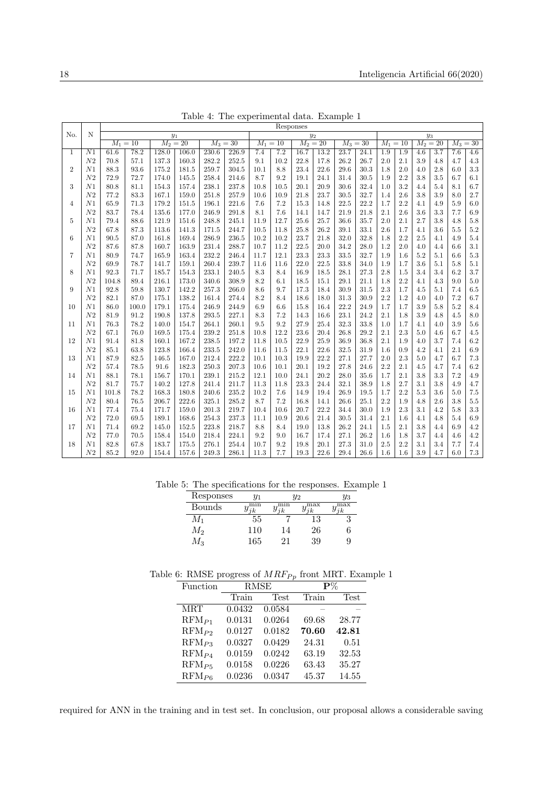|                |                 |                         | Responses |       |            |            |       |          |            |            |      |          |            |       |       |     |            |       |         |
|----------------|-----------------|-------------------------|-----------|-------|------------|------------|-------|----------|------------|------------|------|----------|------------|-------|-------|-----|------------|-------|---------|
| No.            | N               | $y_1$<br>$y_3$<br>$y_2$ |           |       |            |            |       |          |            |            |      |          |            |       |       |     |            |       |         |
|                |                 | $M_1 = 10$              |           |       | $M_2 = 20$ | $M_3 = 30$ |       |          | $M_1 = 10$ | $M_2 = 20$ |      |          | $M_3 = 30$ | $M_1$ | $=10$ |     | $M_2 = 20$ | $M_3$ | $=30$   |
| 1              | $\overline{N1}$ | 61.6                    | 78.2      | 128.0 | 106.0      | 230.6      | 226.9 | 7.4      | 7.2        | 16.7       | 13.2 | 23.7     | 24.1       | 1.9   | 1.9   | 4.6 | 3.7        | 7.6   | 4.6     |
|                | ${\cal N}2$     | 70.8                    | 57.1      | 137.3 | 160.3      | 282.2      | 252.5 | 9.1      | 10.2       | 22.8       | 17.8 | 26.2     | 26.7       | 2.0   | 2.1   | 3.9 | 4.8        | 4.7   | $4.3\,$ |
| $\overline{2}$ | N <sub>1</sub>  | 88.3                    | 93.6      | 175.2 | 181.5      | 259.7      | 304.5 | 10.1     | 8.8        | 23.4       | 22.6 | 29.6     | 30.3       | 1.8   | 2.0   | 4.0 | 2.8        | 6.0   | $3.3\,$ |
|                | N <sub>2</sub>  | 72.9                    | 72.7      | 174.0 | 145.5      | 258.4      | 214.6 | 8.7      | 9.2        | 19.1       | 24.1 | 31.4     | 30.5       | 1.9   | 2.2   | 3.8 | 3.5        | 6.7   | 6.1     |
| 3              | N1              | 80.8                    | 81.1      | 154.3 | 157.4      | 238.1      | 237.8 | 10.8     | 10.5       | 20.1       | 20.9 | 30.6     | 32.4       | 1.0   | 3.2   | 4.4 | 5.4        | 8.1   | 6.7     |
|                | N2              | 77.2                    | 83.3      | 167.1 | 159.0      | 251.8      | 257.9 | 10.6     | 10.9       | 21.8       | 23.7 | 30.5     | 32.7       | 1.4   | 2.6   | 3.8 | 3.9        | 8.0   | $2.7\,$ |
| 4              | N1              | 65.9                    | 71.3      | 179.2 | 151.5      | 196.1      | 221.6 | 7.6      | 7.2        | 15.3       | 14.8 | 22.5     | 22.2       | 1.7   | 2.2   | 4.1 | 4.9        | 5.9   | 6.0     |
|                | N <sub>2</sub>  | 83.7                    | 78.4      | 135.6 | 177.0      | 246.9      | 291.8 | 8.1      | 7.6        | 14.1       | 14.7 | 21.9     | 21.8       | 2.1   | 2.6   | 3.6 | 3.3        | 7.7   | 6.9     |
| 5              | N1              | 79.4                    | 88.6      | 121.9 | 151.6      | 248.8      | 245.1 | 11.9     | 12.7       | $25.6\,$   | 25.7 | 36.6     | 35.7       | 2.0   | 2.1   | 2.7 | 3.8        | 4.8   | $5.8\,$ |
|                | N <sub>2</sub>  | 67.8                    | 87.3      | 113.6 | 141.3      | 171.5      | 244.7 | 10.5     | 11.8       | 25.8       | 26.2 | 39.1     | 33.1       | 2.6   | 1.7   | 4.1 | 3.6        | 5.5   | $5.2\,$ |
| 6              | N1              | 90.5                    | 87.0      | 161.8 | 169.4      | 286.9      | 236.5 | 10.2     | 10.2       | 23.7       | 21.8 | 32.0     | 32.8       | 1.8   | 2.2   | 2.5 | 4.1        | 4.9   | 5.4     |
|                | ${\cal N}2$     | 87.6                    | 87.8      | 160.7 | 163.9      | 231.4      | 288.7 | 10.7     | 11.2       | 22.5       | 20.0 | 34.2     | 28.0       | 1.2   | 2.0   | 4.0 | 4.4        | 6.6   | 3.1     |
| 7              | N1              | 80.9                    | 74.7      | 165.9 | 163.4      | 232.2      | 246.4 | 11.7     | 12.1       | 23.3       | 23.3 | 33.5     | 32.7       | 1.9   | 1.6   | 5.2 | 5.1        | 6.6   | $5.3\,$ |
|                | N <sub>2</sub>  | 69.9                    | 78.7      | 141.7 | 159.1      | 260.4      | 239.7 | 11.6     | 11.6       | 22.0       | 22.5 | 33.8     | 34.0       | 1.9   | 1.7   | 3.6 | 5.1        | 5.8   | $5.1\,$ |
| 8              | N1              | 92.3                    | 71.7      | 185.7 | 154.3      | 233.1      | 240.5 | 8.3      | 8.4        | 16.9       | 18.5 | 28.1     | 27.3       | 2.8   | 1.5   | 3.4 | 3.4        | 6.2   | 3.7     |
|                | N <sub>2</sub>  | 104.8                   | 89.4      | 216.1 | 173.0      | 340.6      | 308.9 | 8.2      | 6.1        | 18.5       | 15.1 | 29.1     | 21.1       | 1.8   | 2.2   | 4.1 | 4.3        | 9.0   | 5.0     |
| 9              | N <sub>1</sub>  | 92.8                    | 59.8      | 130.7 | 142.2      | 257.3      | 266.0 | 8.6      | 9.7        | 17.3       | 18.4 | 30.9     | 31.5       | 2.3   | 1.7   | 4.5 | 5.1        | 7.4   | 6.5     |
|                | N <sub>2</sub>  | 82.1                    | 87.0      | 175.1 | 138.2      | 161.4      | 274.4 | 8.2      | 8.4        | 18.6       | 18.0 | 31.3     | 30.9       | 2.2   | 1.2   | 4.0 | 4.0        | 7.2   | 6.7     |
| 10             | N1              | 86.0                    | 100.0     | 179.1 | 175.4      | 246.9      | 244.9 | 6.9      | 6.6        | 15.8       | 16.4 | 22.2     | 24.9       | 1.7   | 1.7   | 3.9 | 5.8        | 5.2   | 8.4     |
|                | ${\cal N}2$     | 81.9                    | 91.2      | 190.8 | 137.8      | 293.5      | 227.1 | 8.3      | 7.2        | 14.3       | 16.6 | 23.1     | 24.2       | 2.1   | 1.8   | 3.9 | 4.8        | 4.5   | 8.0     |
| 11             | N1              | 76.3                    | 78.2      | 140.0 | 154.7      | 264.1      | 260.1 | 9.5      | 9.2        | 27.9       | 25.4 | $32.3\,$ | 33.8       | 1.0   | 1.7   | 4.1 | 4.0        | 3.9   | $5.6\,$ |
|                | N <sub>2</sub>  | 67.1                    | 76.0      | 169.5 | 175.4      | 239.2      | 251.8 | 10.8     | 12.2       | 23.6       | 20.4 | 26.8     | 29.2       | 2.1   | 2.3   | 5.0 | 4.6        | 6.7   | 4.5     |
| 12             | N1              | 91.4                    | 81.8      | 160.1 | 167.2      | 238.5      | 197.2 | 11.8     | 10.5       | 22.9       | 25.9 | 36.9     | 36.8       | 2.1   | 1.9   | 4.0 | 3.7        | 7.4   | 6.2     |
|                | N2              | 85.1                    | 63.8      | 123.8 | 166.4      | 233.5      | 242.0 | 11.6     | 11.5       | 22.1       | 22.6 | 32.5     | 31.9       | 1.6   | 0.9   | 4.2 | 4.1        | 2.1   | 6.9     |
| 13             | N1              | 87.9                    | 82.5      | 146.5 | 167.0      | 212.4      | 222.2 | 10.1     | 10.3       | 19.9       | 22.2 | 27.1     | 27.7       | 2.0   | 2.3   | 5.0 | 4.7        | 6.7   | 7.3     |
|                | N2              | 57.4                    | 78.5      | 91.6  | 182.3      | 250.3      | 207.3 | 10.6     | 10.1       | 20.1       | 19.2 | 27.8     | 24.6       | 2.2   | 2.1   | 4.5 | 4.7        | 7.4   | 6.2     |
| 14             | N1              | 88.1                    | 78.1      | 156.7 | 170.1      | 239.1      | 215.2 | 12.1     | 10.0       | 24.1       | 20.2 | 28.0     | 35.6       | 1.7   | 2.1   | 3.8 | 3.3        | 7.2   | 4.9     |
|                | ${\cal N}2$     | 81.7                    | 75.7      | 140.2 | 127.8      | 241.4      | 211.7 | $11.3\,$ | 11.8       | 23.3       | 24.4 | 32.1     | 38.9       | 1.8   | 2.7   | 3.1 | 3.8        | 4.9   | 4.7     |
| 15             | N1              | 101.8                   | 78.2      | 168.3 | 180.8      | 240.6      | 235.2 | 10.2     | 7.6        | 14.9       | 19.4 | 26.9     | 19.5       | 1.7   | 2.2   | 5.3 | 3.6        | 5.0   | $7.5\,$ |
|                | N <sub>2</sub>  | 80.4                    | 76.5      | 206.7 | 222.6      | 325.1      | 285.2 | 8.7      | 7.2        | 16.8       | 14.1 | 26.6     | 25.1       | 2.2   | 1.9   | 4.8 | 2.6        | 3.8   | $5.5\,$ |
| 16             | N1              | 77.4                    | 75.4      | 171.7 | 159.0      | 201.3      | 219.7 | 10.4     | 10.6       | 20.7       | 22.2 | 34.4     | 30.0       | 1.9   | 2.3   | 3.1 | 4.2        | 5.8   | 3.3     |
|                | N <sub>2</sub>  | 72.0                    | 69.5      | 189.1 | 168.6      | 254.3      | 237.3 | 11.1     | 10.9       | 20.6       | 21.4 | 30.5     | 31.4       | 2.1   | 1.6   | 4.1 | 4.8        | 5.4   | 6.9     |
| 17             | N1              | 71.4                    | 69.2      | 145.0 | 152.5      | 223.8      | 218.7 | 8.8      | 8.4        | 19.0       | 13.8 | 26.2     | 24.1       | 1.5   | 2.1   | 3.8 | 4.4        | 6.9   | 4.2     |
|                | ${\cal N}2$     | 77.0                    | 70.5      | 158.4 | 154.0      | 218.4      | 224.1 | 9.2      | 9.0        | 16.7       | 17.4 | 27.1     | 26.2       | 1.6   | 1.8   | 3.7 | 4.4        | 4.6   | $4.2\,$ |
| 18             | N1              | 82.8                    | 67.8      | 183.7 | 175.5      | 276.1      | 254.4 | 10.7     | 9.2        | 19.8       | 20.1 | 27.3     | 31.0       | 2.5   | 2.2   | 3.1 | 3.4        | 7.7   | 7.4     |
|                | ${\cal N}2$     | 85.2                    | 92.0      | 154.4 | 157.6      | 249.3      | 286.1 | 11.3     | 7.7        | 19.3       | 22.6 | 29.4     | 26.6       | 1.6   | 1.6   | 3.9 | 4.7        | 6.0   | 7.3     |

<span id="page-9-0"></span>Table 4: The experimental data. Example 1

Table 5: The specifications for the responses. Example 1

<span id="page-9-1"></span>

| Responses | $y_1$ | Y2  | $y_3$ |     |
|-----------|-------|-----|-------|-----|
| Bounds    | min   | min | max   | max |
| $\,M_1$   | 55    |     | 13    |     |
| M2        | 110   | 14  | 26    | 6   |
| $M_{3}$   | 165   | 21  | 39    | 9   |

Table 6: RMSE progress of  $MRF_{Pp}$  front MRT. Example 1

<span id="page-9-2"></span>

| Function   |        | RMSE   | $\mathbf{P}\%$ |             |
|------------|--------|--------|----------------|-------------|
|            | Train  | Test   | Train          | <b>Test</b> |
| MRT        | 0.0432 | 0.0584 |                |             |
| $RFM_{P1}$ | 0.0131 | 0.0264 | 69.68          | 28.77       |
| $RFM_{P2}$ | 0.0127 | 0.0182 | 70.60          | 42.81       |
| $RFM_{P3}$ | 0.0327 | 0.0429 | 24.31          | 0.51        |
| $RFM_{P4}$ | 0.0159 | 0.0242 | 63.19          | 32.53       |
| $RFM_{P5}$ | 0.0158 | 0.0226 | 63.43          | 35.27       |
| $RFM_{P6}$ | 0.0236 | 0.0347 | 45.37          | 14.55       |

required for ANN in the training and in test set. In conclusion, our proposal allows a considerable saving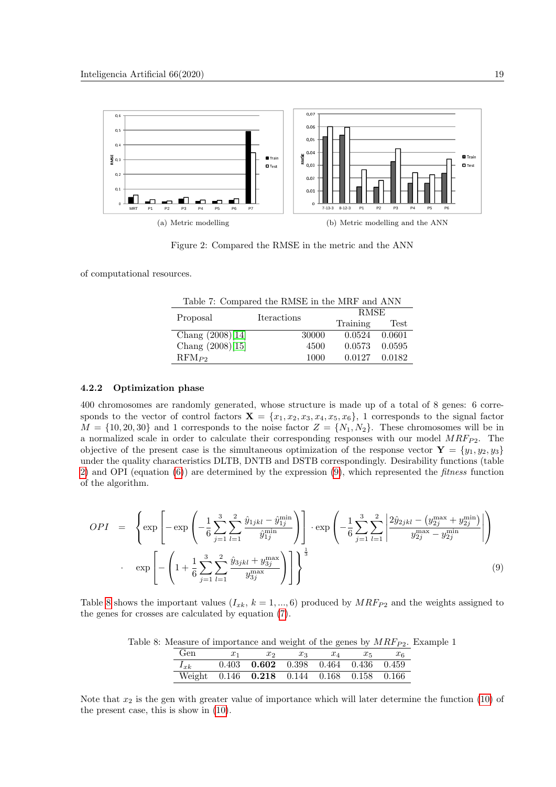<span id="page-10-1"></span>

<span id="page-10-2"></span><span id="page-10-0"></span>Figure 2: Compared the RMSE in the metric and the ANN

of computational resources.

<span id="page-10-3"></span>

| Table 7: Compared the RMSE in the MRF and ANN |             |          |        |  |  |  |  |  |  |  |
|-----------------------------------------------|-------------|----------|--------|--|--|--|--|--|--|--|
| Proposal                                      | Iteractions | RMSE     |        |  |  |  |  |  |  |  |
|                                               |             | Training | Test   |  |  |  |  |  |  |  |
| Chang $(2008)[14]$                            | 30000       | 0.0524   | 0.0601 |  |  |  |  |  |  |  |
| Chang $(2008)[15]$                            | 4500        | 0.0573   | 0.0595 |  |  |  |  |  |  |  |
| $RFM_{P2}$                                    | 1000        | 0.0127   | 0.0182 |  |  |  |  |  |  |  |

#### 4.2.2 Optimization phase

400 chromosomes are randomly generated, whose structure is made up of a total of 8 genes: 6 corresponds to the vector of control factors  $\mathbf{X} = \{x_1, x_2, x_3, x_4, x_5, x_6\}$ , 1 corresponds to the signal factor  $M = \{10, 20, 30\}$  and 1 corresponds to the noise factor  $Z = \{N_1, N_2\}$ . These chromosomes will be in a normalized scale in order to calculate their corresponding responses with our model  $MRF_{P2}$ . The objective of the present case is the simultaneous optimization of the response vector  $\mathbf{Y} = \{y_1, y_2, y_3\}$ under the quality characteristics DLTB, DNTB and DSTB correspondingly. Desirability functions (table [2\)](#page-5-2) and OPI (equation [\(6\)](#page-5-0)) are determined by the expression [\(9\)](#page-10-4), which represented the fitness function of the algorithm.

<span id="page-10-4"></span>
$$
OPT = \left\{ \exp \left[ -\exp \left( -\frac{1}{6} \sum_{j=1}^{3} \sum_{l=1}^{2} \frac{\hat{y}_{1jkl} - \hat{y}_{1j}^{\min}}{\hat{y}_{1j}^{\min}} \right) \right] \cdot \exp \left( -\frac{1}{6} \sum_{j=1}^{3} \sum_{l=1}^{2} \left| \frac{2\hat{y}_{2jkl} - (y_{2j}^{\max} + y_{2j}^{\min})}{y_{2j}^{\max} - y_{2j}^{\min}} \right| \right) \right\}
$$
  

$$
\exp \left[ -\left( 1 + \frac{1}{6} \sum_{j=1}^{3} \sum_{l=1}^{2} \frac{\hat{y}_{3jkl} + y_{3j}^{\max}}{y_{3j}^{\max}} \right) \right] \right\}^{\frac{1}{3}}
$$
(9)

Table [8](#page-10-5) shows the important values  $(I_{x_k}, k = 1, ..., 6)$  produced by  $MRF_{P2}$  and the weights assigned to the genes for crosses are calculated by equation [\(7\)](#page-5-1).

| Table 8: Measure of importance and weight of the genes by $MRF_{P2}$ . Example 1 |  |  |  |
|----------------------------------------------------------------------------------|--|--|--|
|----------------------------------------------------------------------------------|--|--|--|

<span id="page-10-5"></span>

| Gen      | $x_1$ | $x_2$                                             | $x_3$ | $x_{\scriptscriptstyle{A}}$ | $x_{5}$ | $x_{6}$ |
|----------|-------|---------------------------------------------------|-------|-----------------------------|---------|---------|
| $I_{xk}$ |       | $0.403$ $0.602$ $0.398$ $0.464$ $0.436$ $0.459$   |       |                             |         |         |
|          |       | Weight 0.146 <b>0.218</b> 0.144 0.168 0.158 0.166 |       |                             |         |         |

Note that  $x_2$  is the gen with greater value of importance which will later determine the function [\(10\)](#page-11-0) of the present case, this is show in [\(10\)](#page-11-0).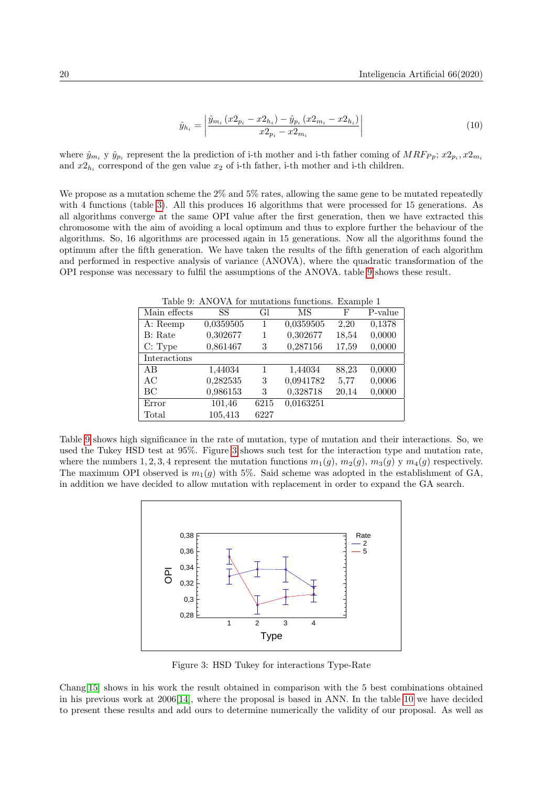<span id="page-11-0"></span>
$$
\hat{y}_{h_i} = \left| \frac{\hat{y}_{m_i} \left( x2_{p_i} - x2_{h_i} \right) - \hat{y}_{p_i} \left( x2_{m_i} - x2_{h_i} \right)}{x2_{p_i} - x2_{m_i}} \right| \tag{10}
$$

where  $\hat{y}_{m_i}$  y  $\hat{y}_{p_i}$  represent the la prediction of i-th mother and i-th father coming of  $MRF_{Pp}$ ;  $x_{p_i}, x_{m_i}$ and  $x2_{h_i}$  correspond of the gen value  $x_2$  of i-th father, i-th mother and i-th children.

We propose as a mutation scheme the 2\% and 5\% rates, allowing the same gene to be mutated repeatedly with 4 functions (table [3\)](#page-6-0). All this produces 16 algorithms that were processed for 15 generations. As all algorithms converge at the same OPI value after the first generation, then we have extracted this chromosome with the aim of avoiding a local optimum and thus to explore further the behaviour of the algorithms. So, 16 algorithms are processed again in 15 generations. Now all the algorithms found the optimum after the fifth generation. We have taken the results of the fifth generation of each algorithm and performed in respective analysis of variance (ANOVA), where the quadratic transformation of the OPI response was necessary to fulfil the assumptions of the ANOVA. table [9](#page-11-1) shows these result.

<span id="page-11-1"></span>Table 9: ANOVA for mutations functions. Example 1

| Main effects | SS        | Gl   | MS        | F     | P-value |
|--------------|-----------|------|-----------|-------|---------|
| A: Reemp     | 0,0359505 | 1    | 0,0359505 | 2,20  | 0,1378  |
| B: Rate      | 0,302677  | 1    | 0,302677  | 18,54 | 0,0000  |
| C: Type      | 0,861467  | 3    | 0,287156  | 17,59 | 0,0000  |
| Interactions |           |      |           |       |         |
| AB           | 1,44034   | 1    | 1,44034   | 88,23 | 0,0000  |
| AC           | 0,282535  | 3    | 0,0941782 | 5,77  | 0,0006  |
| BC           | 0,986153  | 3    | 0,328718  | 20,14 | 0,0000  |
| Error        | 101,46    | 6215 | 0,0163251 |       |         |
| Total        | 105,413   | 6227 |           |       |         |

Table [9](#page-11-1) shows high significance in the rate of mutation, type of mutation and their interactions. So, we used the Tukey HSD test at 95%. Figure [3](#page-11-2) shows such test for the interaction type and mutation rate, where the numbers 1, 2, 3, 4 represent the mutation functions  $m_1(q)$ ,  $m_2(q)$ ,  $m_3(q)$  y  $m_4(q)$  respectively. The maximum OPI observed is  $m_1(g)$  with 5%. Said scheme was adopted in the establishment of GA, in addition we have decided to allow mutation with replacement in order to expand the GA search.



<span id="page-11-2"></span>Figure 3: HSD Tukey for interactions Type-Rate

Chang[\[15\]](#page-15-13) shows in his work the result obtained in comparison with the 5 best combinations obtained in his previous work at 2006[\[14\]](#page-15-19), where the proposal is based in ANN. In the table [10](#page-12-0) we have decided to present these results and add ours to determine numerically the validity of our proposal. As well as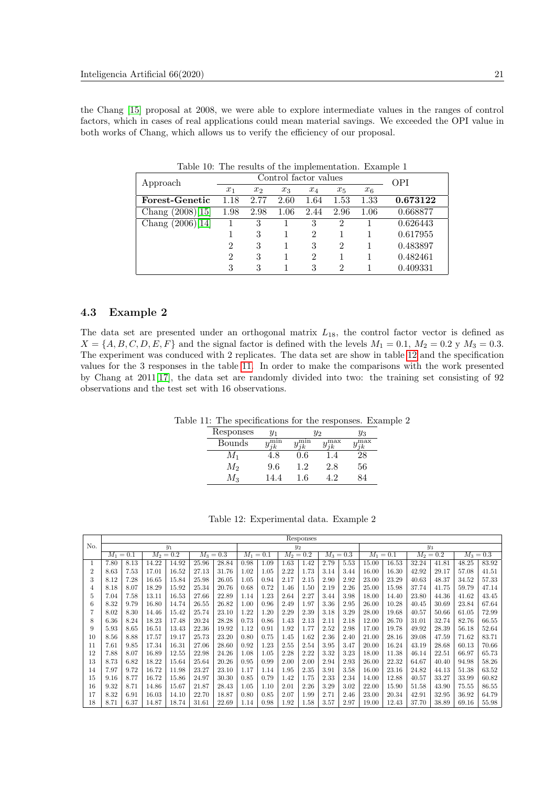the Chang [\[15\]](#page-15-13) proposal at 2008, we were able to explore intermediate values in the ranges of control factors, which in cases of real applications could mean material savings. We exceeded the OPI value in both works of Chang, which allows us to verify the efficiency of our proposal.

| Approach                    |                | Control factor values | <b>OPI</b> |       |       |       |          |
|-----------------------------|----------------|-----------------------|------------|-------|-------|-------|----------|
|                             | $x_1$          | x <sub>2</sub>        | $x_3$      | $x_4$ | $x_5$ | $x_6$ |          |
| Forest-Genetic              | 1.18           | 2.77                  | 2.60       | 1.64  | 1.53  | 1.33  | 0.673122 |
| Chang (2008)[15]            | 1.98           | 2.98                  | 1.06       | 2.44  | 2.96  | 1.06  | 0.668877 |
| Chang $(2006)\overline{14}$ |                | 3                     |            | 3     | 2     |       | 0.626443 |
|                             |                | 3                     |            | 2     |       |       | 0.617955 |
|                             | 2              | 3                     |            | 3     | 2     |       | 0.483897 |
|                             | $\overline{2}$ | 3                     |            | 2     |       |       | 0.482461 |
|                             | 3              | 3                     |            | 3     | 2     |       | 0.409331 |

<span id="page-12-0"></span>Table 10: The results of the implementation. Example 1

#### 4.3 Example 2

The data set are presented under an orthogonal matrix  $L_{18}$ , the control factor vector is defined as  $X = \{A, B, C, D, E, F\}$  and the signal factor is defined with the levels  $M_1 = 0.1, M_2 = 0.2$  y  $M_3 = 0.3$ . The experiment was conduced with 2 replicates. The data set are show in table [12](#page-12-1) and the specification values for the 3 responses in the table [11.](#page-12-2) In order to make the comparisons with the work presented by Chang at 2011[\[17\]](#page-15-7), the data set are randomly divided into two: the training set consisting of 92 observations and the test set with 16 observations.

Table 11: The specifications for the responses. Example 2

<span id="page-12-2"></span>

| Responses | $y_1$ | У2      |           | $y_3$        |
|-----------|-------|---------|-----------|--------------|
| Bounds    | mın   | mın     | max       | $_{\rm max}$ |
|           | t.8   | $0.6\,$ | $\cdot$ 4 |              |
| M2        | 9.6   | 1.2     | 2.8       | 56           |
| Mз        | 44    | .6      | 19        |              |

<span id="page-12-1"></span>

|  | Table 12: Experimental data. Example 2 |  |  |  |
|--|----------------------------------------|--|--|--|
|--|----------------------------------------|--|--|--|

|                |             | Responses |             |       |             |       |             |      |             |       |             |      |             |       |             |       |             |       |
|----------------|-------------|-----------|-------------|-------|-------------|-------|-------------|------|-------------|-------|-------------|------|-------------|-------|-------------|-------|-------------|-------|
| No.            | $y_1$       |           |             |       | $y_2$       |       |             |      |             | $y_3$ |             |      |             |       |             |       |             |       |
|                | $M_1 = 0.1$ |           | $M_2 = 0.2$ |       | $M_3 = 0.3$ |       | $M_1 = 0.1$ |      | $M_2 = 0.2$ |       | $M_3 = 0.3$ |      | $M_1 = 0.1$ |       | $M_2 = 0.2$ |       | $M_3 = 0.3$ |       |
| 1              | 7.80        | 8.13      | 14.22       | 14.92 | 25.96       | 28.84 | 0.98        | 1.09 | 1.63        | 1.42  | 2.79        | 5.53 | 15.00       | 16.53 | 32.24       | 41.81 | 48.25       | 83.92 |
| $\overline{2}$ | 8.63        | 7.53      | 17.01       | 16.52 | 27.13       | 31.76 | 1.02        | 1.05 | 2.22        | 1.73  | 3.14        | 3.44 | 16.00       | 16.30 | 42.92       | 29.17 | 57.08       | 41.51 |
| 3              | 8.12        | 7.28      | 16.65       | 15.84 | 25.98       | 26.05 | 1.05        | 0.94 | 2.17        | 2.15  | 2.90        | 2.92 | 23.00       | 23.29 | 40.63       | 48.37 | 34.52       | 57.33 |
| 4              | 8.18        | 8.07      | 18.29       | 15.92 | 25.34       | 20.76 | 0.68        | 0.72 | 1.46        | 1.50  | 2.19        | 2.26 | 25.00       | 15.98 | 37.74       | 41.75 | 59.79       | 47.14 |
| 5              | 7.04        | 7.58      | 13.11       | 16.53 | 27.66       | 22.89 | 1.14        | 1.23 | 2.64        | 2.27  | 3.44        | 3.98 | 18.00       | 14.40 | 23.80       | 44.36 | 41.62       | 43.45 |
| 6              | 8.32        | 9.79      | 16.80       | 14.74 | 26.55       | 26.82 | 1.00        | 0.96 | 2.49        | 1.97  | 3.36        | 2.95 | 26.00       | 10.28 | 40.45       | 30.69 | 23.84       | 67.64 |
|                | 8.02        | 8.30      | 14.46       | 15.42 | 25.74       | 23.10 | 1.22        | 1.20 | 2.29        | 2.39  | 3.18        | 3.29 | 28.00       | 19.68 | 40.57       | 50.66 | 61.05       | 72.99 |
| 8              | 6.36        | 8.24      | 18.23       | 17.48 | 20.24       | 28.28 | 0.73        | 0.86 | 1.43        | 2.13  | 2.11        | 2.18 | 12.00       | 26.70 | 31.01       | 32.74 | 82.76       | 66.55 |
| 9              | 5.93        | 8.65      | 16.51       | 13.43 | 22.36       | 19.92 | 1.12        | 0.91 | 1.92        | 1.77  | 2.52        | 2.98 | 17.00       | 19.78 | 49.92       | 28.39 | 56.18       | 52.64 |
| 10             | 8.56        | 8.88      | 17.57       | 19.17 | 25.73       | 23.20 | 0.80        | 0.75 | 1.45        | 1.62  | 2.36        | 2.40 | 21.00       | 28.16 | 39.08       | 47.59 | 71.62       | 83.71 |
| 11             | 7.61        | 9.85      | 17.34       | 16.31 | 27.06       | 28.60 | 0.92        | 1.23 | 2.55        | 2.54  | 3.95        | 3.47 | 20.00       | 16.24 | 43.19       | 28.68 | 60.13       | 70.66 |
| 12             | 7.88        | 8.07      | 16.89       | 12.55 | 22.98       | 24.26 | 1.08        | 1.05 | 2.28        | 2.22  | 3.32        | 3.23 | 18.00       | 11.38 | 46.14       | 22.51 | 66.97       | 65.73 |
| 13             | 8.73        | 6.82      | 18.22       | 15.64 | 25.64       | 20.26 | 0.95        | 0.99 | 2.00        | 2.00  | 2.94        | 2.93 | 26.00       | 22.32 | 64.67       | 40.40 | 94.98       | 58.26 |
| 14             | 7.97        | 9.72      | 16.72       | 11.98 | 23.27       | 23.10 | 1.17        | 1.14 | 1.95        | 2.35  | 3.91        | 3.58 | 16.00       | 23.16 | 24.82       | 44.13 | 51.38       | 63.52 |
| 15             | 9.16        | 8.77      | 16.72       | 15.86 | 24.97       | 30.30 | 0.85        | 0.79 | 1.42        | 1.75  | 2.33        | 2.34 | 14.00       | 12.88 | 40.57       | 33.27 | 33.99       | 60.82 |
| 16             | 9.32        | 8.71      | 14.86       | 15.67 | 21.87       | 28.43 | 1.05        | 1.10 | 2.01        | 2.26  | 3.29        | 3.02 | 22.00       | 15.90 | 51.58       | 43.90 | 75.55       | 86.55 |
| 17             | 8.32        | 6.91      | 16.03       | 14.10 | 22.70       | 18.87 | 0.80        | 0.85 | 2.07        | 1.99  | 2.71        | 2.46 | 23.00       | 20.34 | 42.91       | 32.95 | 36.92       | 64.79 |
| 18             | 8.71        | 6.37      | 14.87       | 18.74 | 31.61       | 22.69 | 1.14        | 0.98 | 1.92        | 1.58  | 3.57        | 2.97 | 19.00       | 12.43 | 37.70       | 38.89 | 69.16       | 55.98 |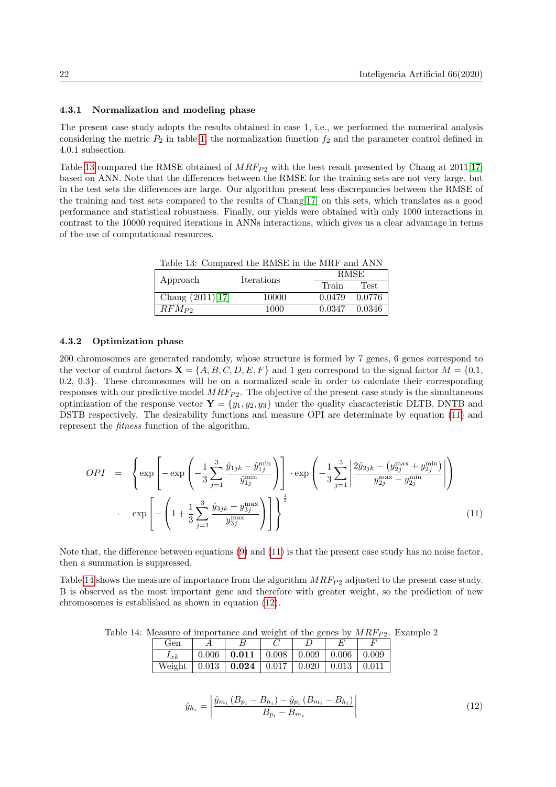#### 4.3.1 Normalization and modeling phase

The present case study adopts the results obtained in case 1, i.e., we performed the numerical analysis considering the metric  $P_2$  in table [1,](#page-4-1) the normalization function  $f_2$  and the parameter control defined in 4.0.1 subsection.

Table [13](#page-13-0) compared the RMSE obtained of  $MRF_{P2}$  with the best result presented by Chang at 2011[\[17\]](#page-15-7) based on ANN. Note that the differences between the RMSE for the training sets are not very large, but in the test sets the differences are large. Our algorithm present less discrepancies between the RMSE of the training and test sets compared to the results of Chang[\[17\]](#page-15-7) on this sets, which translates as a good performance and statistical robustness. Finally, our yields were obtained with only 1000 interactions in contrast to the 10000 required iterations in ANNs interactions, which gives us a clear advantage in terms of the use of computational resources.

<span id="page-13-0"></span>Table 13: Compared the RMSE in the MRF and ANN

| Approach           | Iterations | <b>RMSE</b> |             |  |  |  |
|--------------------|------------|-------------|-------------|--|--|--|
|                    |            | Train       | <b>Test</b> |  |  |  |
| Chang $(2011)[17]$ | 10000      | 0.0479      | 0.0776      |  |  |  |
| $RFM_{P2}$         | 1000       | 0.0347      | 0.0346      |  |  |  |

#### 4.3.2 Optimization phase

200 chromosomes are generated randomly, whose structure is formed by 7 genes, 6 genes correspond to the vector of control factors  $\mathbf{X} = \{A, B, C, D, E, F\}$  and 1 gen correspond to the signal factor  $M = \{0.1,$ 0.2, 0.3}. These chromosomes will be on a normalized scale in order to calculate their corresponding responses with our predictive model  $MRF_{P2}$ . The objective of the present case study is the simultaneous optimization of the response vector  $\mathbf{Y} = \{y_1, y_2, y_3\}$  under the quality characteristic DLTB, DNTB and DSTB respectively. The desirability functions and measure OPI are determinate by equation [\(11\)](#page-13-1) and represent the fitness function of the algorithm.

<span id="page-13-1"></span>
$$
OPT = \left\{ \exp \left[ -\exp \left( -\frac{1}{3} \sum_{j=1}^{3} \frac{\hat{y}_{1jk} - \hat{y}_{1j}^{\min}}{\hat{y}_{1j}^{\min}} \right) \right] \cdot \exp \left( -\frac{1}{3} \sum_{j=1}^{3} \left| \frac{2\hat{y}_{2jk} - (y_{2j}^{\max} + y_{2j}^{\min})}{y_{2j}^{\max} - y_{2j}^{\min}} \right| \right) \right\}
$$
  

$$
\exp \left[ -\left( 1 + \frac{1}{3} \sum_{j=1}^{3} \frac{\hat{y}_{3jk} + y_{3j}^{\max}}{y_{3j}^{\max}} \right) \right] \right\}^{\frac{1}{3}}
$$
(11)

Note that, the difference between equations [\(9\)](#page-10-4) and [\(11\)](#page-13-1) is that the present case study has no noise factor, then a summation is suppressed.

Table [14](#page-13-2) shows the measure of importance from the algorithm  $MRF_{P2}$  adjusted to the present case study. B is observed as the most important gene and therefore with greater weight, so the prediction of new chromosomes is established as shown in equation [\(12\)](#page-13-3).

Table 14: Measure of importance and weight of the genes by  $MRF_{P2}$ . Example 2

<span id="page-13-2"></span>

| Gen      |       |                     |       |       |       |       |  |
|----------|-------|---------------------|-------|-------|-------|-------|--|
| $1_{xk}$ | 0.006 | 0.011               | 0.008 | 0.009 | 0.006 | 0.009 |  |
| Weight   | 0.013 | $\vert 0.024 \vert$ | 0.017 | 0.020 | 0.013 | 0.011 |  |

<span id="page-13-3"></span>
$$
\hat{y}_{h_i} = \left| \frac{\hat{y}_{m_i} \left( B_{p_i} - B_{h_i} \right) - \hat{y}_{p_i} \left( B_{m_i} - B_{h_i} \right)}{B_{p_i} - B_{m_i}} \right| \tag{12}
$$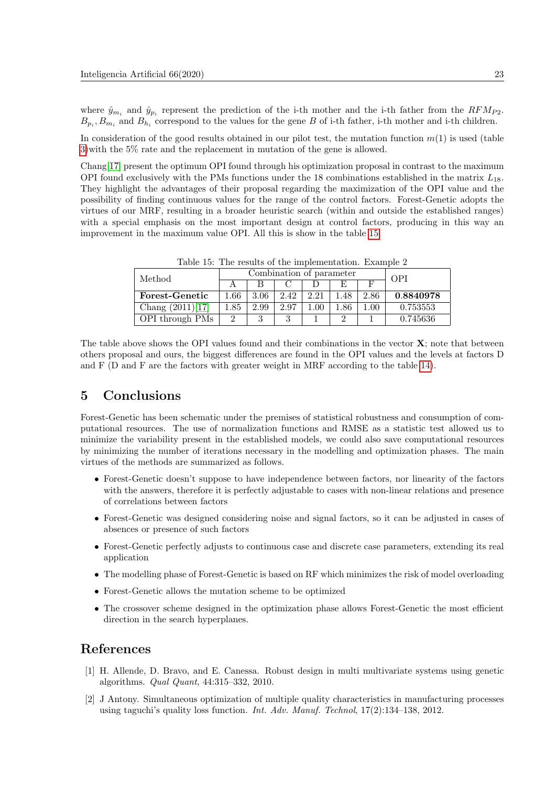where  $\hat{y}_{m_i}$  and  $\hat{y}_{p_i}$  represent the prediction of the i-th mother and the i-th father from the  $RFM_{P2}$ .  $B_{p_i}, B_{m_i}$  and  $B_{h_i}$  correspond to the values for the gene B of i-th father, i-th mother and i-th children.

In consideration of the good results obtained in our pilot test, the mutation function  $m(1)$  is used (table [3\)](#page-6-0)with the 5% rate and the replacement in mutation of the gene is allowed.

Chang[\[17\]](#page-15-7) present the optimum OPI found through his optimization proposal in contrast to the maximum OPI found exclusively with the PMs functions under the 18 combinations established in the matrix  $L_{18}$ . They highlight the advantages of their proposal regarding the maximization of the OPI value and the possibility of finding continuous values for the range of the control factors. Forest-Genetic adopts the virtues of our MRF, resulting in a broader heuristic search (within and outside the established ranges) with a special emphasis on the most important design at control factors, producing in this way an improvement in the maximum value OPI. All this is show in the table [15.](#page-14-2)

| Method                |          | Combination of parameter | OPI  |      |     |          |           |
|-----------------------|----------|--------------------------|------|------|-----|----------|-----------|
|                       |          |                          |      |      |     |          |           |
| <b>Forest-Genetic</b> | $1.66\,$ | 3.06                     | 2.42 | 2.21 | .48 | 2.86     | 0.8840978 |
| Chang $(2011)[17]$    | .85      | 2.99                     | 2.97 | L.OO | .86 | $1.00\,$ | 0.753553  |
| OPI through PMs       |          |                          | ച    |      |     |          | 0.745636  |

<span id="page-14-2"></span>Table 15: The results of the implementation. Example 2

The table above shows the OPI values found and their combinations in the vector  $X$ ; note that between others proposal and ours, the biggest differences are found in the OPI values and the levels at factors D and F (D and F are the factors with greater weight in MRF according to the table [14\)](#page-13-2).

# 5 Conclusions

Forest-Genetic has been schematic under the premises of statistical robustness and consumption of computational resources. The use of normalization functions and RMSE as a statistic test allowed us to minimize the variability present in the established models, we could also save computational resources by minimizing the number of iterations necessary in the modelling and optimization phases. The main virtues of the methods are summarized as follows.

- Forest-Genetic doesn't suppose to have independence between factors, nor linearity of the factors with the answers, therefore it is perfectly adjustable to cases with non-linear relations and presence of correlations between factors
- Forest-Genetic was designed considering noise and signal factors, so it can be adjusted in cases of absences or presence of such factors
- Forest-Genetic perfectly adjusts to continuous case and discrete case parameters, extending its real application
- The modelling phase of Forest-Genetic is based on RF which minimizes the risk of model overloading
- Forest-Genetic allows the mutation scheme to be optimized
- The crossover scheme designed in the optimization phase allows Forest-Genetic the most efficient direction in the search hyperplanes.

# References

- <span id="page-14-0"></span>[1] H. Allende, D. Bravo, and E. Canessa. Robust design in multi multivariate systems using genetic algorithms. Qual Quant, 44:315–332, 2010.
- <span id="page-14-1"></span>[2] J Antony. Simultaneous optimization of multiple quality characteristics in manufacturing processes using taguchi's quality loss function. Int. Adv. Manuf. Technol, 17(2):134–138, 2012.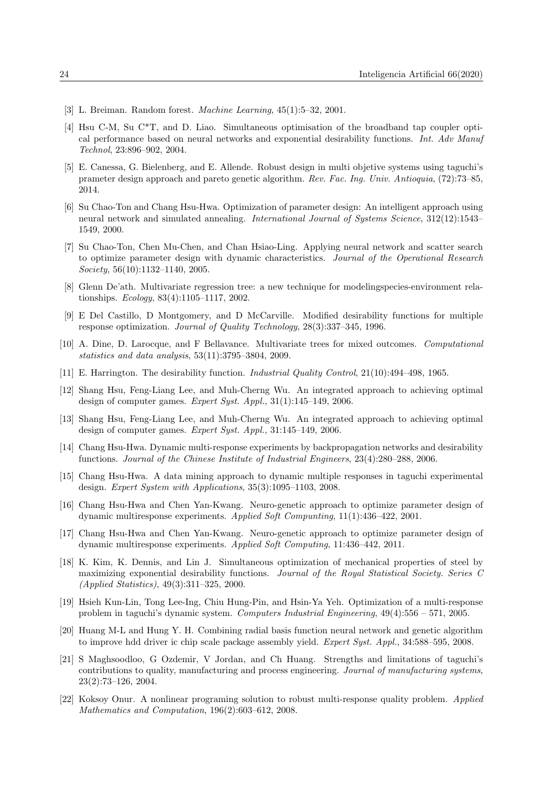- <span id="page-15-17"></span>[3] L. Breiman. Random forest. Machine Learning, 45(1):5–32, 2001.
- <span id="page-15-5"></span>[4] Hsu C-M, Su C\*T, and D. Liao. Simultaneous optimisation of the broadband tap coupler optical performance based on neural networks and exponential desirability functions. Int. Adv Manuf Technol, 23:896–902, 2004.
- <span id="page-15-0"></span>[5] E. Canessa, G. Bielenberg, and E. Allende. Robust design in multi objetive systems using taguchi's prameter design approach and pareto genetic algorithm. Rev. Fac. Ing. Univ. Antioquia, (72):73–85, 2014.
- <span id="page-15-14"></span>[6] Su Chao-Ton and Chang Hsu-Hwa. Optimization of parameter design: An intelligent approach using neural network and simulated annealing. International Journal of Systems Science, 312(12):1543– 1549, 2000.
- <span id="page-15-12"></span>[7] Su Chao-Ton, Chen Mu-Chen, and Chan Hsiao-Ling. Applying neural network and scatter search to optimize parameter design with dynamic characteristics. Journal of the Operational Research Society, 56(10):1132–1140, 2005.
- <span id="page-15-15"></span>[8] Glenn De'ath. Multivariate regression tree: a new technique for modelingspecies-environment relationships. Ecology, 83(4):1105–1117, 2002.
- <span id="page-15-2"></span>[9] E Del Castillo, D Montgomery, and D McCarville. Modified desirability functions for multiple response optimization. Journal of Quality Technology, 28(3):337–345, 1996.
- <span id="page-15-16"></span>[10] A. Dine, D. Larocque, and F Bellavance. Multivariate trees for mixed outcomes. Computational statistics and data analysis, 53(11):3795–3804, 2009.
- <span id="page-15-3"></span>[11] E. Harrington. The desirability function. Industrial Quality Control, 21(10):494–498, 1965.
- <span id="page-15-9"></span>[12] Shang Hsu, Feng-Liang Lee, and Muh-Cherng Wu. An integrated approach to achieving optimal design of computer games. Expert Syst. Appl., 31(1):145–149, 2006.
- <span id="page-15-10"></span>[13] Shang Hsu, Feng-Liang Lee, and Muh-Cherng Wu. An integrated approach to achieving optimal design of computer games. Expert Syst. Appl., 31:145–149, 2006.
- <span id="page-15-19"></span>[14] Chang Hsu-Hwa. Dynamic multi-response experiments by backpropagation networks and desirability functions. Journal of the Chinese Institute of Industrial Engineers, 23(4):280–288, 2006.
- <span id="page-15-13"></span>[15] Chang Hsu-Hwa. A data mining approach to dynamic multiple responses in taguchi experimental design. Expert System with Applications, 35(3):1095–1103, 2008.
- <span id="page-15-8"></span>[16] Chang Hsu-Hwa and Chen Yan-Kwang. Neuro-genetic approach to optimize parameter design of dynamic multiresponse experiments. Applied Soft Compunting, 11(1):436–422, 2001.
- <span id="page-15-7"></span>[17] Chang Hsu-Hwa and Chen Yan-Kwang. Neuro-genetic approach to optimize parameter design of dynamic multiresponse experiments. Applied Soft Computing, 11:436–442, 2011.
- <span id="page-15-4"></span>[18] K. Kim, K. Dennis, and Lin J. Simultaneous optimization of mechanical properties of steel by maximizing exponential desirability functions. Journal of the Royal Statistical Society. Series C (Applied Statistics), 49(3):311–325, 2000.
- <span id="page-15-18"></span>[19] Hsieh Kun-Lin, Tong Lee-Ing, Chiu Hung-Pin, and Hsin-Ya Yeh. Optimization of a multi-response problem in taguchi's dynamic system. Computers Industrial Engineering, 49(4):556 – 571, 2005.
- <span id="page-15-11"></span>[20] Huang M-L and Hung Y. H. Combining radial basis function neural network and genetic algorithm to improve hdd driver ic chip scale package assembly yield. Expert Syst. Appl., 34:588–595, 2008.
- <span id="page-15-1"></span>[21] S Maghsoodloo, G Ozdemir, V Jordan, and Ch Huang. Strengths and limitations of taguchi's contributions to quality, manufacturing and process engineering. Journal of manufacturing systems, 23(2):73–126, 2004.
- <span id="page-15-6"></span>[22] Koksoy Onur. A nonlinear programing solution to robust multi-response quality problem. Applied Mathematics and Computation, 196(2):603–612, 2008.